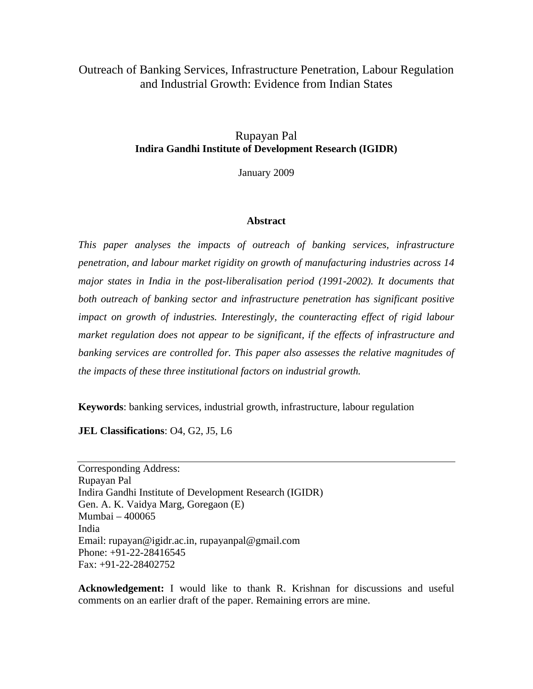# Outreach of Banking Services, Infrastructure Penetration, Labour Regulation and Industrial Growth: Evidence from Indian States

## Rupayan Pal **Indira Gandhi Institute of Development Research (IGIDR)**

January 2009

### **Abstract**

*This paper analyses the impacts of outreach of banking services, infrastructure penetration, and labour market rigidity on growth of manufacturing industries across 14 major states in India in the post-liberalisation period (1991-2002). It documents that both outreach of banking sector and infrastructure penetration has significant positive impact on growth of industries. Interestingly, the counteracting effect of rigid labour market regulation does not appear to be significant, if the effects of infrastructure and banking services are controlled for. This paper also assesses the relative magnitudes of the impacts of these three institutional factors on industrial growth.* 

**Keywords**: banking services, industrial growth, infrastructure, labour regulation

**JEL Classifications**: O4, G2, J5, L6

Corresponding Address: Rupayan Pal Indira Gandhi Institute of Development Research (IGIDR) Gen. A. K. Vaidya Marg, Goregaon (E) Mumbai – 400065 India Email: rupayan@igidr.ac.in, rupayanpal@gmail.com Phone: +91-22-28416545 Fax: +91-22-28402752

**Acknowledgement:** I would like to thank R. Krishnan for discussions and useful comments on an earlier draft of the paper. Remaining errors are mine.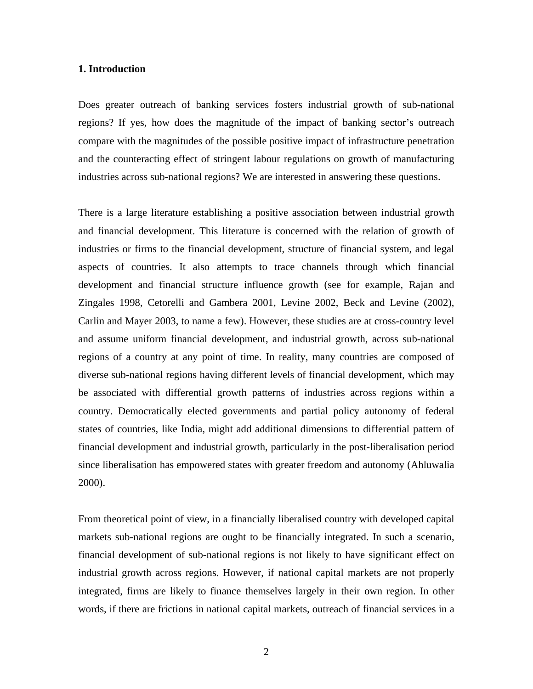### **1. Introduction**

Does greater outreach of banking services fosters industrial growth of sub-national regions? If yes, how does the magnitude of the impact of banking sector's outreach compare with the magnitudes of the possible positive impact of infrastructure penetration and the counteracting effect of stringent labour regulations on growth of manufacturing industries across sub-national regions? We are interested in answering these questions.

There is a large literature establishing a positive association between industrial growth and financial development. This literature is concerned with the relation of growth of industries or firms to the financial development, structure of financial system, and legal aspects of countries. It also attempts to trace channels through which financial development and financial structure influence growth (see for example, Rajan and Zingales 1998, Cetorelli and Gambera 2001, Levine 2002, Beck and Levine (2002), Carlin and Mayer 2003, to name a few). However, these studies are at cross-country level and assume uniform financial development, and industrial growth, across sub-national regions of a country at any point of time. In reality, many countries are composed of diverse sub-national regions having different levels of financial development, which may be associated with differential growth patterns of industries across regions within a country. Democratically elected governments and partial policy autonomy of federal states of countries, like India, might add additional dimensions to differential pattern of financial development and industrial growth, particularly in the post-liberalisation period since liberalisation has empowered states with greater freedom and autonomy (Ahluwalia 2000).

From theoretical point of view, in a financially liberalised country with developed capital markets sub-national regions are ought to be financially integrated. In such a scenario, financial development of sub-national regions is not likely to have significant effect on industrial growth across regions. However, if national capital markets are not properly integrated, firms are likely to finance themselves largely in their own region. In other words, if there are frictions in national capital markets, outreach of financial services in a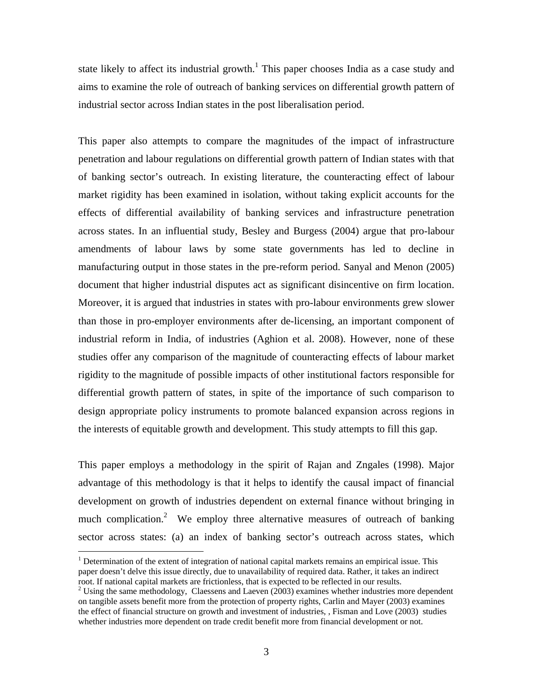state likely to affect its industrial growth.<sup>1</sup> This paper chooses India as a case study and aims to examine the role of outreach of banking services on differential growth pattern of industrial sector across Indian states in the post liberalisation period.

This paper also attempts to compare the magnitudes of the impact of infrastructure penetration and labour regulations on differential growth pattern of Indian states with that of banking sector's outreach. In existing literature, the counteracting effect of labour market rigidity has been examined in isolation, without taking explicit accounts for the effects of differential availability of banking services and infrastructure penetration across states. In an influential study, Besley and Burgess (2004) argue that pro-labour amendments of labour laws by some state governments has led to decline in manufacturing output in those states in the pre-reform period. Sanyal and Menon (2005) document that higher industrial disputes act as significant disincentive on firm location. Moreover, it is argued that industries in states with pro-labour environments grew slower than those in pro-employer environments after de-licensing, an important component of industrial reform in India, of industries (Aghion et al. 2008). However, none of these studies offer any comparison of the magnitude of counteracting effects of labour market rigidity to the magnitude of possible impacts of other institutional factors responsible for differential growth pattern of states, in spite of the importance of such comparison to design appropriate policy instruments to promote balanced expansion across regions in the interests of equitable growth and development. This study attempts to fill this gap.

This paper employs a methodology in the spirit of Rajan and Zngales (1998). Major advantage of this methodology is that it helps to identify the causal impact of financial development on growth of industries dependent on external finance without bringing in much complication.<sup>2</sup> We employ three alternative measures of outreach of banking sector across states: (a) an index of banking sector's outreach across states, which

 $\overline{a}$ 

<sup>&</sup>lt;sup>1</sup> Determination of the extent of integration of national capital markets remains an empirical issue. This paper doesn't delve this issue directly, due to unavailability of required data. Rather, it takes an indirect root. If national capital markets are frictionless, that is expected to be reflected in our results. 2

<sup>&</sup>lt;sup>2</sup> Using the same methodology, Claessens and Laeven (2003) examines whether industries more dependent on tangible assets benefit more from the protection of property rights, Carlin and Mayer (2003) examines the effect of financial structure on growth and investment of industries, , Fisman and Love (2003) studies whether industries more dependent on trade credit benefit more from financial development or not.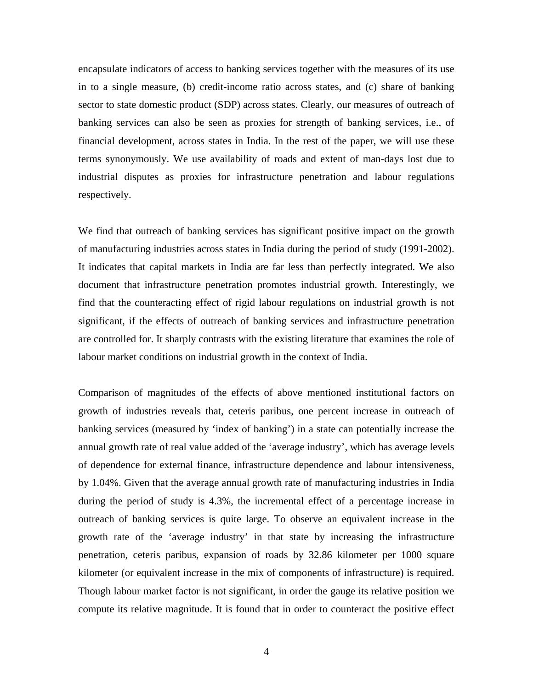encapsulate indicators of access to banking services together with the measures of its use in to a single measure, (b) credit-income ratio across states, and (c) share of banking sector to state domestic product (SDP) across states. Clearly, our measures of outreach of banking services can also be seen as proxies for strength of banking services, i.e., of financial development, across states in India. In the rest of the paper, we will use these terms synonymously. We use availability of roads and extent of man-days lost due to industrial disputes as proxies for infrastructure penetration and labour regulations respectively.

We find that outreach of banking services has significant positive impact on the growth of manufacturing industries across states in India during the period of study (1991-2002). It indicates that capital markets in India are far less than perfectly integrated. We also document that infrastructure penetration promotes industrial growth. Interestingly, we find that the counteracting effect of rigid labour regulations on industrial growth is not significant, if the effects of outreach of banking services and infrastructure penetration are controlled for. It sharply contrasts with the existing literature that examines the role of labour market conditions on industrial growth in the context of India.

Comparison of magnitudes of the effects of above mentioned institutional factors on growth of industries reveals that, ceteris paribus, one percent increase in outreach of banking services (measured by 'index of banking') in a state can potentially increase the annual growth rate of real value added of the 'average industry', which has average levels of dependence for external finance, infrastructure dependence and labour intensiveness, by 1.04%. Given that the average annual growth rate of manufacturing industries in India during the period of study is 4.3%, the incremental effect of a percentage increase in outreach of banking services is quite large. To observe an equivalent increase in the growth rate of the 'average industry' in that state by increasing the infrastructure penetration, ceteris paribus, expansion of roads by 32.86 kilometer per 1000 square kilometer (or equivalent increase in the mix of components of infrastructure) is required. Though labour market factor is not significant, in order the gauge its relative position we compute its relative magnitude. It is found that in order to counteract the positive effect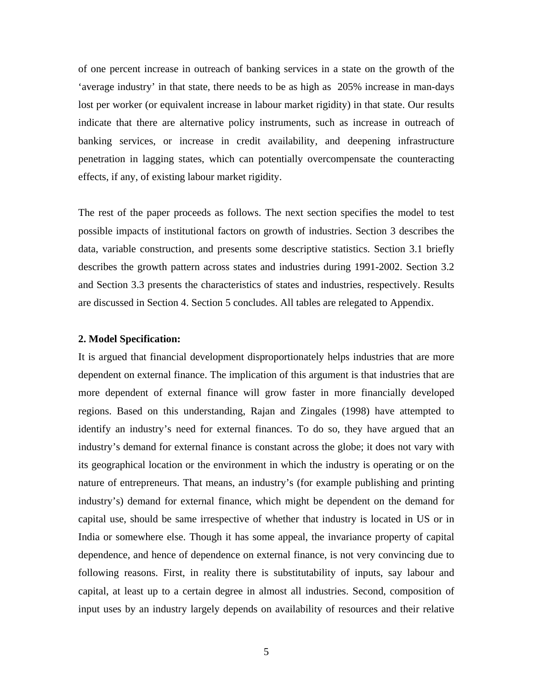of one percent increase in outreach of banking services in a state on the growth of the 'average industry' in that state, there needs to be as high as 205% increase in man-days lost per worker (or equivalent increase in labour market rigidity) in that state. Our results indicate that there are alternative policy instruments, such as increase in outreach of banking services, or increase in credit availability, and deepening infrastructure penetration in lagging states, which can potentially overcompensate the counteracting effects, if any, of existing labour market rigidity.

The rest of the paper proceeds as follows. The next section specifies the model to test possible impacts of institutional factors on growth of industries. Section 3 describes the data, variable construction, and presents some descriptive statistics. Section 3.1 briefly describes the growth pattern across states and industries during 1991-2002. Section 3.2 and Section 3.3 presents the characteristics of states and industries, respectively. Results are discussed in Section 4. Section 5 concludes. All tables are relegated to Appendix.

### **2. Model Specification:**

It is argued that financial development disproportionately helps industries that are more dependent on external finance. The implication of this argument is that industries that are more dependent of external finance will grow faster in more financially developed regions. Based on this understanding, Rajan and Zingales (1998) have attempted to identify an industry's need for external finances. To do so, they have argued that an industry's demand for external finance is constant across the globe; it does not vary with its geographical location or the environment in which the industry is operating or on the nature of entrepreneurs. That means, an industry's (for example publishing and printing industry's) demand for external finance, which might be dependent on the demand for capital use, should be same irrespective of whether that industry is located in US or in India or somewhere else. Though it has some appeal, the invariance property of capital dependence, and hence of dependence on external finance, is not very convincing due to following reasons. First, in reality there is substitutability of inputs, say labour and capital, at least up to a certain degree in almost all industries. Second, composition of input uses by an industry largely depends on availability of resources and their relative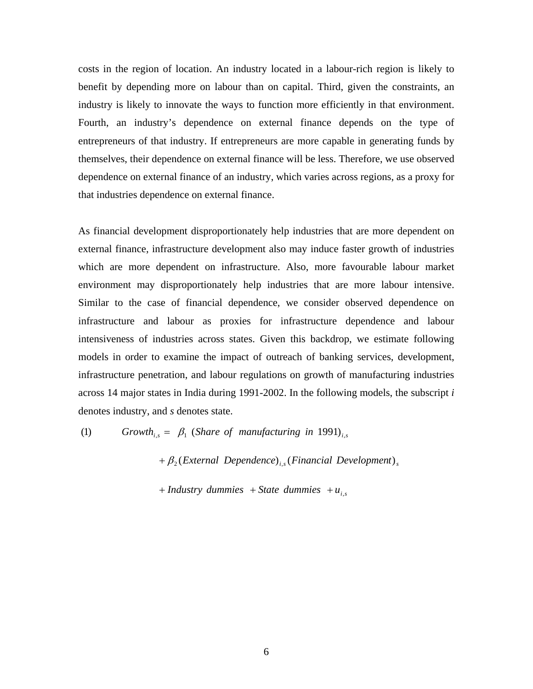costs in the region of location. An industry located in a labour-rich region is likely to benefit by depending more on labour than on capital. Third, given the constraints, an industry is likely to innovate the ways to function more efficiently in that environment. Fourth, an industry's dependence on external finance depends on the type of entrepreneurs of that industry. If entrepreneurs are more capable in generating funds by themselves, their dependence on external finance will be less. Therefore, we use observed dependence on external finance of an industry, which varies across regions, as a proxy for that industries dependence on external finance.

As financial development disproportionately help industries that are more dependent on external finance, infrastructure development also may induce faster growth of industries which are more dependent on infrastructure. Also, more favourable labour market environment may disproportionately help industries that are more labour intensive. Similar to the case of financial dependence, we consider observed dependence on infrastructure and labour as proxies for infrastructure dependence and labour intensiveness of industries across states. Given this backdrop, we estimate following models in order to examine the impact of outreach of banking services, development, infrastructure penetration, and labour regulations on growth of manufacturing industries across 14 major states in India during 1991-2002. In the following models, the subscript *i* denotes industry, and *s* denotes state.

(1) *Growth*<sub>is</sub> =  $\beta_1$  (*Share of manufacturing in* 1991)<sub>*i,s*</sub>

 $+ \beta_2$ (External Dependence)<sub>i,s</sub> (Financial Development)<sub>s</sub>

 $i + Industry$  *dummies*  $i + State$  *dummies*  $+u_{i,s}$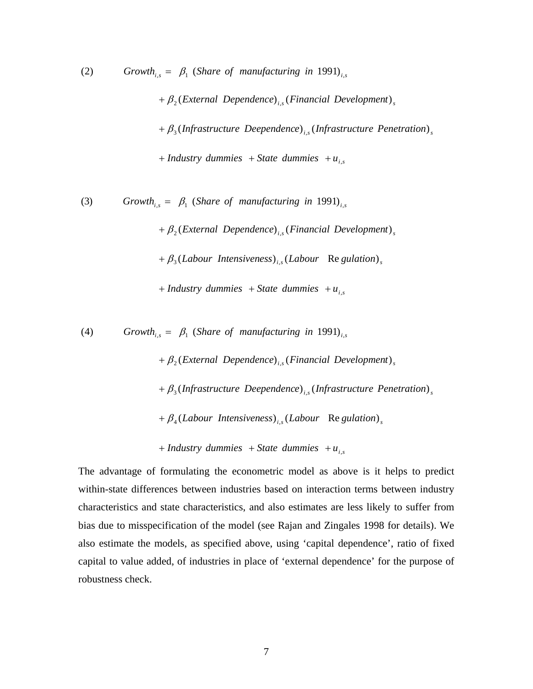$+$  *Industry dummies*  $+$  *State dummies*  $+$   $u_{i,s}$ *i f*<sub>3</sub>(*Infrastructure Deependence*)<sub>*i,s</sub>*(*Infrastructure Penetration*)<sub>*s*</sub></sub>  $+ \beta_2$ (External Dependence)<sub>i,s</sub> (Financial Development)<sub>s</sub> (2) *Growth*<sub>i,s</sub> =  $\beta_1$  (*Share of manufacturing in* 1991)<sub>i,s</sub>

 $+$  *Industry dummies*  $+$  *State dummies*  $+$   $u_{i,s}$  $+ \beta_3$ (Labour Intensiveness)<sub>i,s</sub> (Labour Regulation)<sub>s</sub>  $+ \beta_2$ (External Dependence)<sub>i,s</sub> (Financial Development)<sub>s</sub> (3) *Growth*<sub>i,s</sub> =  $\beta_1$  (*Share of manufacturing in* 1991)<sub>i,s</sub>

(4) *Growth*<sub>i,s</sub> =  $\beta_1$  (*Share of manufacturing in* 1991)<sub>i,s</sub>

 $+ \beta_2$ (External Dependence)<sub>i,s</sub> (Financial Development)<sub>s</sub>

*i f*<sub>3</sub>(*Infrastructure Deependence*)<sub>*i,s</sub>*(*Infrastructure Penetration*)<sub>*s*</sub></sub>

 $+ \beta_4$ (Labour Intensiveness)<sub>i,s</sub> (Labour Regulation)<sub>s</sub>

 $i + Industry$  *dummies*  $i + State$  *dummies*  $+ u_{i,s}$ 

The advantage of formulating the econometric model as above is it helps to predict within-state differences between industries based on interaction terms between industry characteristics and state characteristics, and also estimates are less likely to suffer from bias due to misspecification of the model (see Rajan and Zingales 1998 for details). We also estimate the models, as specified above, using 'capital dependence', ratio of fixed capital to value added, of industries in place of 'external dependence' for the purpose of robustness check.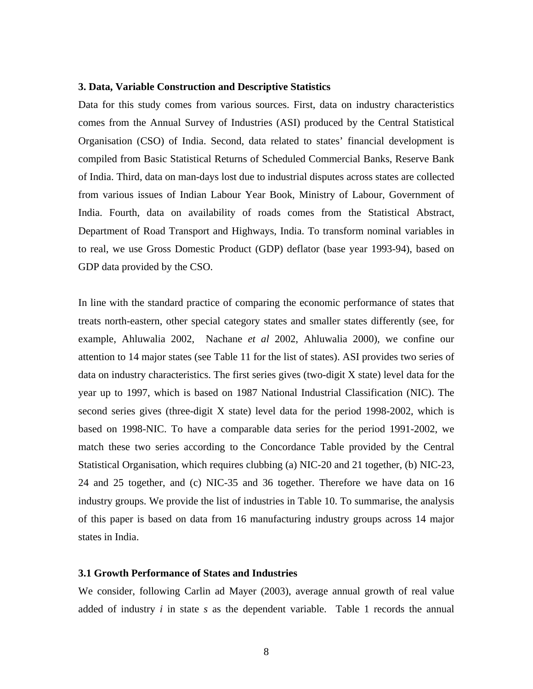#### **3. Data, Variable Construction and Descriptive Statistics**

Data for this study comes from various sources. First, data on industry characteristics comes from the Annual Survey of Industries (ASI) produced by the Central Statistical Organisation (CSO) of India. Second, data related to states' financial development is compiled from Basic Statistical Returns of Scheduled Commercial Banks, Reserve Bank of India. Third, data on man-days lost due to industrial disputes across states are collected from various issues of Indian Labour Year Book, Ministry of Labour, Government of India. Fourth, data on availability of roads comes from the Statistical Abstract, Department of Road Transport and Highways, India. To transform nominal variables in to real, we use Gross Domestic Product (GDP) deflator (base year 1993-94), based on GDP data provided by the CSO.

In line with the standard practice of comparing the economic performance of states that treats north-eastern, other special category states and smaller states differently (see, for example, Ahluwalia 2002, Nachane *et al* 2002, Ahluwalia 2000), we confine our attention to 14 major states (see Table 11 for the list of states). ASI provides two series of data on industry characteristics. The first series gives (two-digit X state) level data for the year up to 1997, which is based on 1987 National Industrial Classification (NIC). The second series gives (three-digit X state) level data for the period 1998-2002, which is based on 1998-NIC. To have a comparable data series for the period 1991-2002, we match these two series according to the Concordance Table provided by the Central Statistical Organisation, which requires clubbing (a) NIC-20 and 21 together, (b) NIC-23, 24 and 25 together, and (c) NIC-35 and 36 together. Therefore we have data on 16 industry groups. We provide the list of industries in Table 10. To summarise, the analysis of this paper is based on data from 16 manufacturing industry groups across 14 major states in India.

### **3.1 Growth Performance of States and Industries**

We consider, following Carlin ad Mayer (2003), average annual growth of real value added of industry *i* in state *s* as the dependent variable. Table 1 records the annual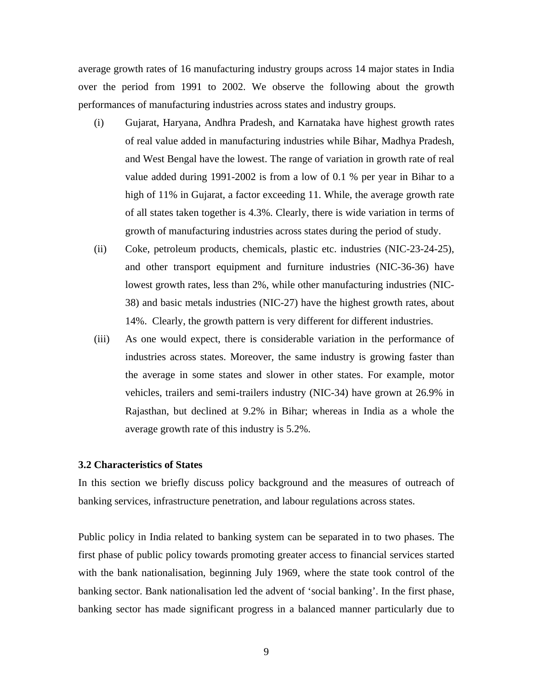average growth rates of 16 manufacturing industry groups across 14 major states in India over the period from 1991 to 2002. We observe the following about the growth performances of manufacturing industries across states and industry groups.

- (i) Gujarat, Haryana, Andhra Pradesh, and Karnataka have highest growth rates of real value added in manufacturing industries while Bihar, Madhya Pradesh, and West Bengal have the lowest. The range of variation in growth rate of real value added during 1991-2002 is from a low of 0.1 % per year in Bihar to a high of 11% in Gujarat, a factor exceeding 11. While, the average growth rate of all states taken together is 4.3%. Clearly, there is wide variation in terms of growth of manufacturing industries across states during the period of study.
- (ii) Coke, petroleum products, chemicals, plastic etc. industries (NIC-23-24-25), and other transport equipment and furniture industries (NIC-36-36) have lowest growth rates, less than 2%, while other manufacturing industries (NIC-38) and basic metals industries (NIC-27) have the highest growth rates, about 14%. Clearly, the growth pattern is very different for different industries.
- (iii) As one would expect, there is considerable variation in the performance of industries across states. Moreover, the same industry is growing faster than the average in some states and slower in other states. For example, motor vehicles, trailers and semi-trailers industry (NIC-34) have grown at 26.9% in Rajasthan, but declined at 9.2% in Bihar; whereas in India as a whole the average growth rate of this industry is 5.2%.

### **3.2 Characteristics of States**

In this section we briefly discuss policy background and the measures of outreach of banking services, infrastructure penetration, and labour regulations across states.

Public policy in India related to banking system can be separated in to two phases. The first phase of public policy towards promoting greater access to financial services started with the bank nationalisation, beginning July 1969, where the state took control of the banking sector. Bank nationalisation led the advent of 'social banking'. In the first phase, banking sector has made significant progress in a balanced manner particularly due to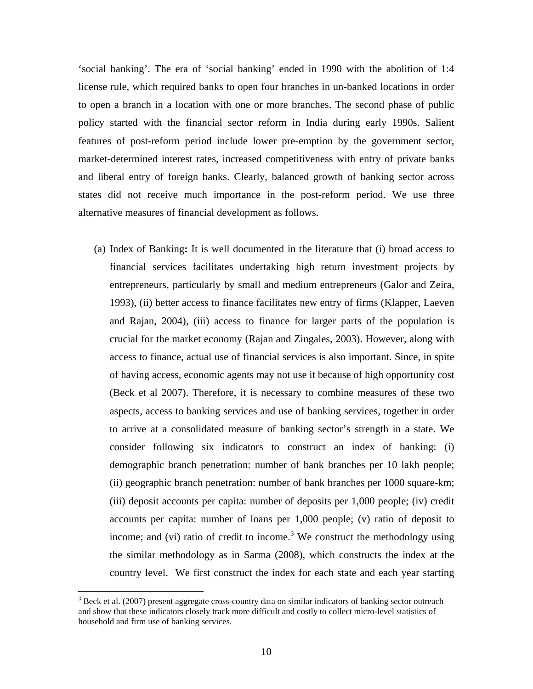'social banking'. The era of 'social banking' ended in 1990 with the abolition of 1:4 license rule, which required banks to open four branches in un-banked locations in order to open a branch in a location with one or more branches. The second phase of public policy started with the financial sector reform in India during early 1990s. Salient features of post-reform period include lower pre-emption by the government sector, market-determined interest rates, increased competitiveness with entry of private banks and liberal entry of foreign banks. Clearly, balanced growth of banking sector across states did not receive much importance in the post-reform period. We use three alternative measures of financial development as follows.

(a) Index of Banking**:** It is well documented in the literature that (i) broad access to financial services facilitates undertaking high return investment projects by entrepreneurs, particularly by small and medium entrepreneurs (Galor and Zeira, 1993), (ii) better access to finance facilitates new entry of firms (Klapper, Laeven and Rajan, 2004), (iii) access to finance for larger parts of the population is crucial for the market economy (Rajan and Zingales, 2003). However, along with access to finance, actual use of financial services is also important. Since, in spite of having access, economic agents may not use it because of high opportunity cost (Beck et al 2007). Therefore, it is necessary to combine measures of these two aspects, access to banking services and use of banking services, together in order to arrive at a consolidated measure of banking sector's strength in a state. We consider following six indicators to construct an index of banking: (i) demographic branch penetration: number of bank branches per 10 lakh people; (ii) geographic branch penetration: number of bank branches per 1000 square-km; (iii) deposit accounts per capita: number of deposits per 1,000 people; (iv) credit accounts per capita: number of loans per 1,000 people; (v) ratio of deposit to income; and (vi) ratio of credit to income.<sup>3</sup> We construct the methodology using the similar methodology as in Sarma (2008), which constructs the index at the country level. We first construct the index for each state and each year starting

 $\overline{a}$ 

 $3$  Beck et al. (2007) present aggregate cross-country data on similar indicators of banking sector outreach and show that these indicators closely track more difficult and costly to collect micro-level statistics of household and firm use of banking services.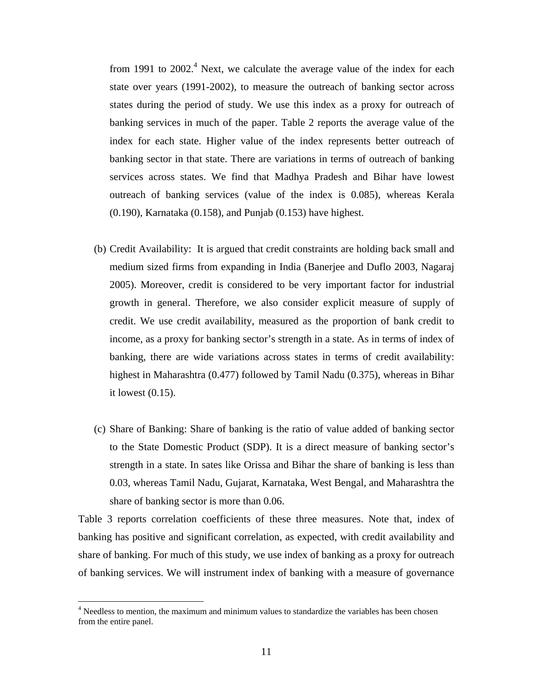from 1991 to 2002.<sup>4</sup> Next, we calculate the average value of the index for each state over years (1991-2002), to measure the outreach of banking sector across states during the period of study. We use this index as a proxy for outreach of banking services in much of the paper. Table 2 reports the average value of the index for each state. Higher value of the index represents better outreach of banking sector in that state. There are variations in terms of outreach of banking services across states. We find that Madhya Pradesh and Bihar have lowest outreach of banking services (value of the index is 0.085), whereas Kerala (0.190), Karnataka (0.158), and Punjab (0.153) have highest.

- (b) Credit Availability: It is argued that credit constraints are holding back small and medium sized firms from expanding in India (Banerjee and Duflo 2003, Nagaraj 2005). Moreover, credit is considered to be very important factor for industrial growth in general. Therefore, we also consider explicit measure of supply of credit. We use credit availability, measured as the proportion of bank credit to income, as a proxy for banking sector's strength in a state. As in terms of index of banking, there are wide variations across states in terms of credit availability: highest in Maharashtra (0.477) followed by Tamil Nadu (0.375), whereas in Bihar it lowest (0.15).
- (c) Share of Banking: Share of banking is the ratio of value added of banking sector to the State Domestic Product (SDP). It is a direct measure of banking sector's strength in a state. In sates like Orissa and Bihar the share of banking is less than 0.03, whereas Tamil Nadu, Gujarat, Karnataka, West Bengal, and Maharashtra the share of banking sector is more than 0.06.

Table 3 reports correlation coefficients of these three measures. Note that, index of banking has positive and significant correlation, as expected, with credit availability and share of banking. For much of this study, we use index of banking as a proxy for outreach of banking services. We will instrument index of banking with a measure of governance

 $\overline{a}$ 

<sup>&</sup>lt;sup>4</sup> Needless to mention, the maximum and minimum values to standardize the variables has been chosen from the entire panel.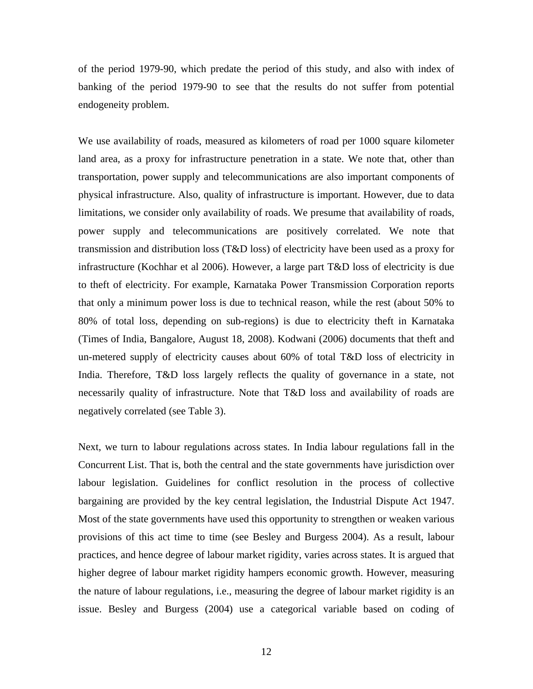of the period 1979-90, which predate the period of this study, and also with index of banking of the period 1979-90 to see that the results do not suffer from potential endogeneity problem.

We use availability of roads, measured as kilometers of road per 1000 square kilometer land area, as a proxy for infrastructure penetration in a state. We note that, other than transportation, power supply and telecommunications are also important components of physical infrastructure. Also, quality of infrastructure is important. However, due to data limitations, we consider only availability of roads. We presume that availability of roads, power supply and telecommunications are positively correlated. We note that transmission and distribution loss (T&D loss) of electricity have been used as a proxy for infrastructure (Kochhar et al 2006). However, a large part T&D loss of electricity is due to theft of electricity. For example, Karnataka Power Transmission Corporation reports that only a minimum power loss is due to technical reason, while the rest (about 50% to 80% of total loss, depending on sub-regions) is due to electricity theft in Karnataka (Times of India, Bangalore, August 18, 2008). Kodwani (2006) documents that theft and un-metered supply of electricity causes about 60% of total T&D loss of electricity in India. Therefore, T&D loss largely reflects the quality of governance in a state, not necessarily quality of infrastructure. Note that T&D loss and availability of roads are negatively correlated (see Table 3).

Next, we turn to labour regulations across states. In India labour regulations fall in the Concurrent List. That is, both the central and the state governments have jurisdiction over labour legislation. Guidelines for conflict resolution in the process of collective bargaining are provided by the key central legislation, the Industrial Dispute Act 1947. Most of the state governments have used this opportunity to strengthen or weaken various provisions of this act time to time (see Besley and Burgess 2004). As a result, labour practices, and hence degree of labour market rigidity, varies across states. It is argued that higher degree of labour market rigidity hampers economic growth. However, measuring the nature of labour regulations, i.e., measuring the degree of labour market rigidity is an issue. Besley and Burgess (2004) use a categorical variable based on coding of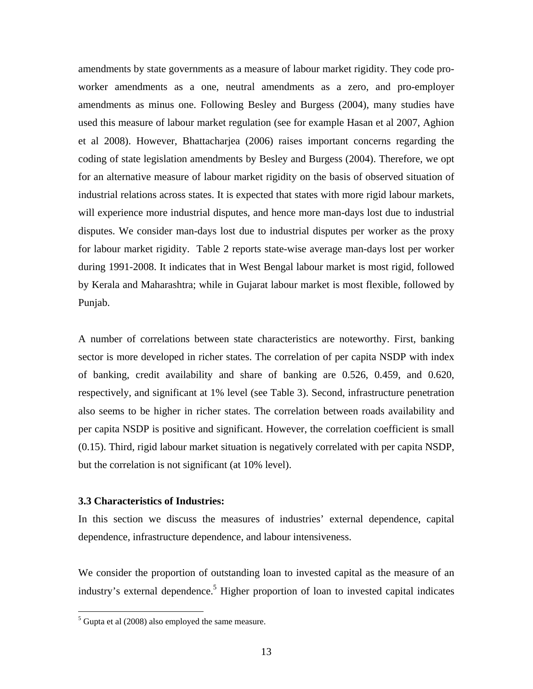amendments by state governments as a measure of labour market rigidity. They code proworker amendments as a one, neutral amendments as a zero, and pro-employer amendments as minus one. Following Besley and Burgess (2004), many studies have used this measure of labour market regulation (see for example Hasan et al 2007, Aghion et al 2008). However, Bhattacharjea (2006) raises important concerns regarding the coding of state legislation amendments by Besley and Burgess (2004). Therefore, we opt for an alternative measure of labour market rigidity on the basis of observed situation of industrial relations across states. It is expected that states with more rigid labour markets, will experience more industrial disputes, and hence more man-days lost due to industrial disputes. We consider man-days lost due to industrial disputes per worker as the proxy for labour market rigidity. Table 2 reports state-wise average man-days lost per worker during 1991-2008. It indicates that in West Bengal labour market is most rigid, followed by Kerala and Maharashtra; while in Gujarat labour market is most flexible, followed by Punjab.

A number of correlations between state characteristics are noteworthy. First, banking sector is more developed in richer states. The correlation of per capita NSDP with index of banking, credit availability and share of banking are 0.526, 0.459, and 0.620, respectively, and significant at 1% level (see Table 3). Second, infrastructure penetration also seems to be higher in richer states. The correlation between roads availability and per capita NSDP is positive and significant. However, the correlation coefficient is small (0.15). Third, rigid labour market situation is negatively correlated with per capita NSDP, but the correlation is not significant (at 10% level).

### **3.3 Characteristics of Industries:**

 $\overline{a}$ 

In this section we discuss the measures of industries' external dependence, capital dependence, infrastructure dependence, and labour intensiveness.

We consider the proportion of outstanding loan to invested capital as the measure of an industry's external dependence.<sup>5</sup> Higher proportion of loan to invested capital indicates

 $<sup>5</sup>$  Gupta et al (2008) also employed the same measure.</sup>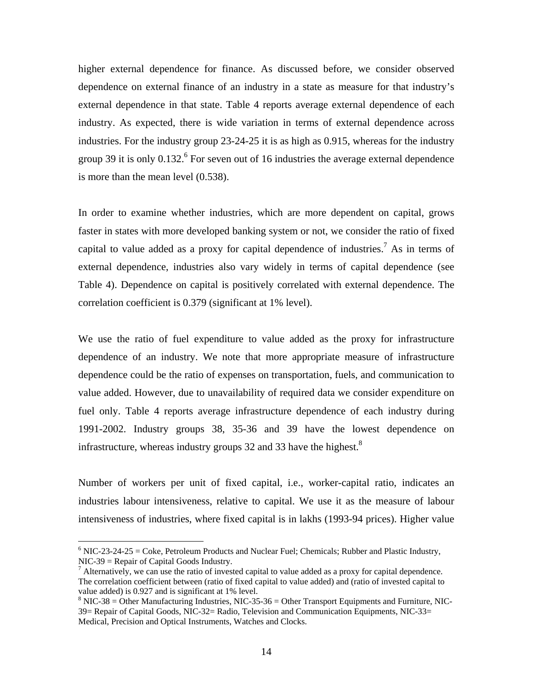higher external dependence for finance. As discussed before, we consider observed dependence on external finance of an industry in a state as measure for that industry's external dependence in that state. Table 4 reports average external dependence of each industry. As expected, there is wide variation in terms of external dependence across industries. For the industry group 23-24-25 it is as high as 0.915, whereas for the industry group 39 it is only  $0.132$ .<sup>6</sup> For seven out of 16 industries the average external dependence is more than the mean level (0.538).

In order to examine whether industries, which are more dependent on capital, grows faster in states with more developed banking system or not, we consider the ratio of fixed capital to value added as a proxy for capital dependence of industries.<sup>7</sup> As in terms of external dependence, industries also vary widely in terms of capital dependence (see Table 4). Dependence on capital is positively correlated with external dependence. The correlation coefficient is 0.379 (significant at 1% level).

We use the ratio of fuel expenditure to value added as the proxy for infrastructure dependence of an industry. We note that more appropriate measure of infrastructure dependence could be the ratio of expenses on transportation, fuels, and communication to value added. However, due to unavailability of required data we consider expenditure on fuel only. Table 4 reports average infrastructure dependence of each industry during 1991-2002. Industry groups 38, 35-36 and 39 have the lowest dependence on infrastructure, whereas industry groups 32 and 33 have the highest.<sup>8</sup>

Number of workers per unit of fixed capital, i.e., worker-capital ratio, indicates an industries labour intensiveness, relative to capital. We use it as the measure of labour intensiveness of industries, where fixed capital is in lakhs (1993-94 prices). Higher value

 $\overline{a}$ 

 $6$  NIC-23-24-25 = Coke, Petroleum Products and Nuclear Fuel; Chemicals; Rubber and Plastic Industry, NIC-39 = Repair of Capital Goods Industry.

 $^7$  Alternatively, we can use the ratio of invested capital to value added as a proxy for capital dependence. The correlation coefficient between (ratio of fixed capital to value added) and (ratio of invested capital to value added) is 0.927 and is significant at 1% level.

 $8$  NIC-38 = Other Manufacturing Industries, NIC-35-36 = Other Transport Equipments and Furniture, NIC-39= Repair of Capital Goods, NIC-32= Radio, Television and Communication Equipments, NIC-33= Medical, Precision and Optical Instruments, Watches and Clocks.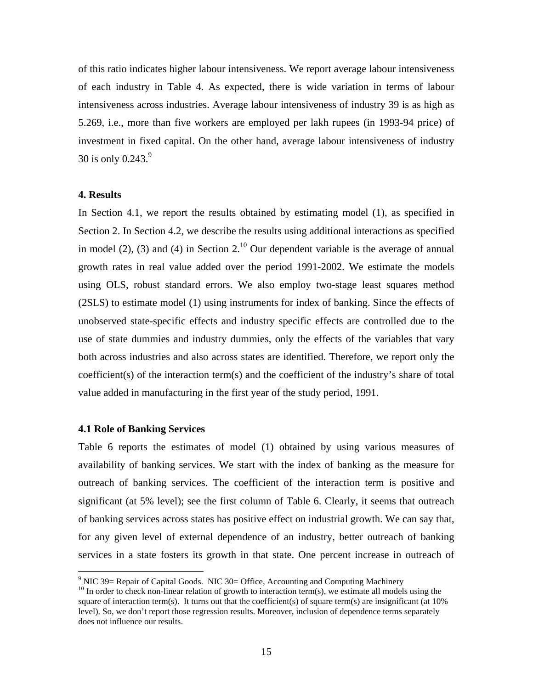of this ratio indicates higher labour intensiveness. We report average labour intensiveness of each industry in Table 4. As expected, there is wide variation in terms of labour intensiveness across industries. Average labour intensiveness of industry 39 is as high as 5.269, i.e., more than five workers are employed per lakh rupees (in 1993-94 price) of investment in fixed capital. On the other hand, average labour intensiveness of industry 30 is only  $0.243$ .<sup>9</sup>

#### **4. Results**

In Section 4.1, we report the results obtained by estimating model (1), as specified in Section 2. In Section 4.2, we describe the results using additional interactions as specified in model (2), (3) and (4) in Section 2.<sup>10</sup> Our dependent variable is the average of annual growth rates in real value added over the period 1991-2002. We estimate the models using OLS, robust standard errors. We also employ two-stage least squares method (2SLS) to estimate model (1) using instruments for index of banking. Since the effects of unobserved state-specific effects and industry specific effects are controlled due to the use of state dummies and industry dummies, only the effects of the variables that vary both across industries and also across states are identified. Therefore, we report only the coefficient(s) of the interaction term(s) and the coefficient of the industry's share of total value added in manufacturing in the first year of the study period, 1991.

### **4.1 Role of Banking Services**

Table 6 reports the estimates of model (1) obtained by using various measures of availability of banking services. We start with the index of banking as the measure for outreach of banking services. The coefficient of the interaction term is positive and significant (at 5% level); see the first column of Table 6. Clearly, it seems that outreach of banking services across states has positive effect on industrial growth. We can say that, for any given level of external dependence of an industry, better outreach of banking services in a state fosters its growth in that state. One percent increase in outreach of

<sup>&</sup>lt;sup>9</sup> NIC 39= Repair of Capital Goods. NIC 30= Office, Accounting and Computing Machinery

 $10$  In order to check non-linear relation of growth to interaction term(s), we estimate all models using the square of interaction term(s). It turns out that the coefficient(s) of square term(s) are insignificant (at  $10\%$ level). So, we don't report those regression results. Moreover, inclusion of dependence terms separately does not influence our results.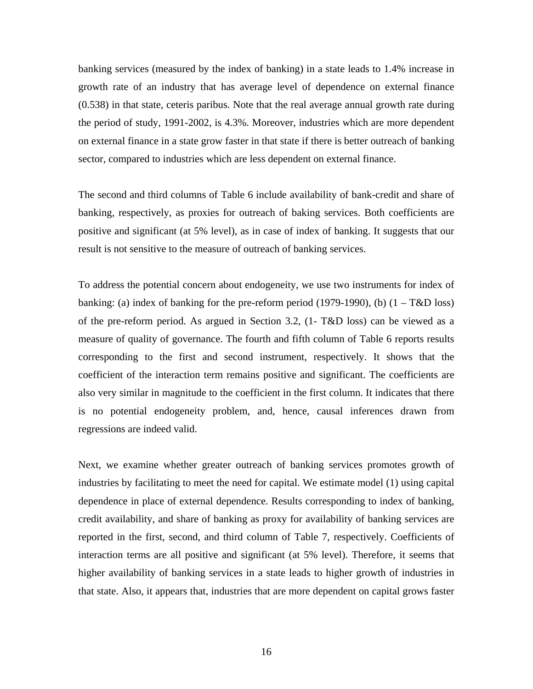banking services (measured by the index of banking) in a state leads to 1.4% increase in growth rate of an industry that has average level of dependence on external finance (0.538) in that state, ceteris paribus. Note that the real average annual growth rate during the period of study, 1991-2002, is 4.3%. Moreover, industries which are more dependent on external finance in a state grow faster in that state if there is better outreach of banking sector, compared to industries which are less dependent on external finance.

The second and third columns of Table 6 include availability of bank-credit and share of banking, respectively, as proxies for outreach of baking services. Both coefficients are positive and significant (at 5% level), as in case of index of banking. It suggests that our result is not sensitive to the measure of outreach of banking services.

To address the potential concern about endogeneity, we use two instruments for index of banking: (a) index of banking for the pre-reform period (1979-1990), (b)  $(1 - T\&D$  loss) of the pre-reform period. As argued in Section 3.2, (1- T&D loss) can be viewed as a measure of quality of governance. The fourth and fifth column of Table 6 reports results corresponding to the first and second instrument, respectively. It shows that the coefficient of the interaction term remains positive and significant. The coefficients are also very similar in magnitude to the coefficient in the first column. It indicates that there is no potential endogeneity problem, and, hence, causal inferences drawn from regressions are indeed valid.

Next, we examine whether greater outreach of banking services promotes growth of industries by facilitating to meet the need for capital. We estimate model (1) using capital dependence in place of external dependence. Results corresponding to index of banking, credit availability, and share of banking as proxy for availability of banking services are reported in the first, second, and third column of Table 7, respectively. Coefficients of interaction terms are all positive and significant (at 5% level). Therefore, it seems that higher availability of banking services in a state leads to higher growth of industries in that state. Also, it appears that, industries that are more dependent on capital grows faster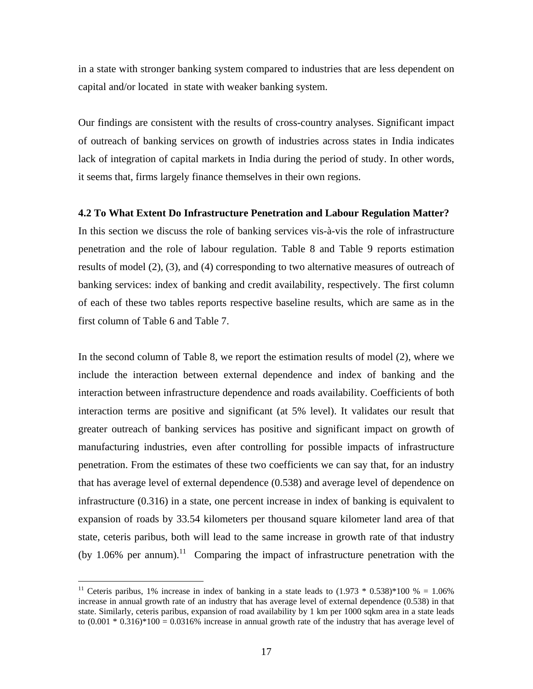in a state with stronger banking system compared to industries that are less dependent on capital and/or located in state with weaker banking system.

Our findings are consistent with the results of cross-country analyses. Significant impact of outreach of banking services on growth of industries across states in India indicates lack of integration of capital markets in India during the period of study. In other words, it seems that, firms largely finance themselves in their own regions.

### **4.2 To What Extent Do Infrastructure Penetration and Labour Regulation Matter?**

In this section we discuss the role of banking services vis-à-vis the role of infrastructure penetration and the role of labour regulation. Table 8 and Table 9 reports estimation results of model (2), (3), and (4) corresponding to two alternative measures of outreach of banking services: index of banking and credit availability, respectively. The first column of each of these two tables reports respective baseline results, which are same as in the first column of Table 6 and Table 7.

In the second column of Table 8, we report the estimation results of model (2), where we include the interaction between external dependence and index of banking and the interaction between infrastructure dependence and roads availability. Coefficients of both interaction terms are positive and significant (at 5% level). It validates our result that greater outreach of banking services has positive and significant impact on growth of manufacturing industries, even after controlling for possible impacts of infrastructure penetration. From the estimates of these two coefficients we can say that, for an industry that has average level of external dependence (0.538) and average level of dependence on infrastructure (0.316) in a state, one percent increase in index of banking is equivalent to expansion of roads by 33.54 kilometers per thousand square kilometer land area of that state, ceteris paribus, both will lead to the same increase in growth rate of that industry (by 1.06% per annum).<sup>11</sup> Comparing the impact of infrastructure penetration with the

 $\overline{a}$ 

<sup>&</sup>lt;sup>11</sup> Ceteris paribus, 1% increase in index of banking in a state leads to  $(1.973 * 0.538)*100 % = 1.06%$ increase in annual growth rate of an industry that has average level of external dependence (0.538) in that state. Similarly, ceteris paribus, expansion of road availability by 1 km per 1000 sqkm area in a state leads to  $(0.001 * 0.316)*100 = 0.0316%$  increase in annual growth rate of the industry that has average level of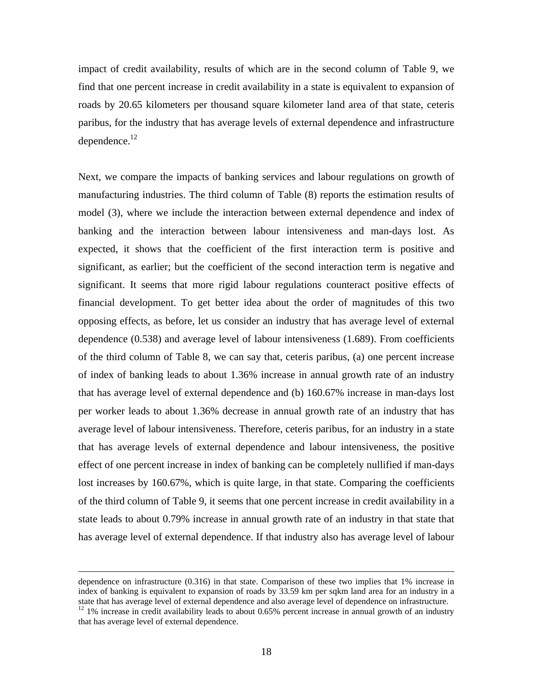impact of credit availability, results of which are in the second column of Table 9, we find that one percent increase in credit availability in a state is equivalent to expansion of roads by 20.65 kilometers per thousand square kilometer land area of that state, ceteris paribus, for the industry that has average levels of external dependence and infrastructure dependence.<sup>12</sup>

Next, we compare the impacts of banking services and labour regulations on growth of manufacturing industries. The third column of Table (8) reports the estimation results of model (3), where we include the interaction between external dependence and index of banking and the interaction between labour intensiveness and man-days lost. As expected, it shows that the coefficient of the first interaction term is positive and significant, as earlier; but the coefficient of the second interaction term is negative and significant. It seems that more rigid labour regulations counteract positive effects of financial development. To get better idea about the order of magnitudes of this two opposing effects, as before, let us consider an industry that has average level of external dependence (0.538) and average level of labour intensiveness (1.689). From coefficients of the third column of Table 8, we can say that, ceteris paribus, (a) one percent increase of index of banking leads to about 1.36% increase in annual growth rate of an industry that has average level of external dependence and (b) 160.67% increase in man-days lost per worker leads to about 1.36% decrease in annual growth rate of an industry that has average level of labour intensiveness. Therefore, ceteris paribus, for an industry in a state that has average levels of external dependence and labour intensiveness, the positive effect of one percent increase in index of banking can be completely nullified if man-days lost increases by 160.67%, which is quite large, in that state. Comparing the coefficients of the third column of Table 9, it seems that one percent increase in credit availability in a state leads to about 0.79% increase in annual growth rate of an industry in that state that has average level of external dependence. If that industry also has average level of labour

dependence on infrastructure (0.316) in that state. Comparison of these two implies that 1% increase in index of banking is equivalent to expansion of roads by 33.59 km per sqkm land area for an industry in a state that has average level of external dependence and also average level of dependence on infrastructure.<br><sup>12</sup> 1% increase in credit availability leads to about 0.65% percent increase in annual growth of an industry

that has average level of external dependence.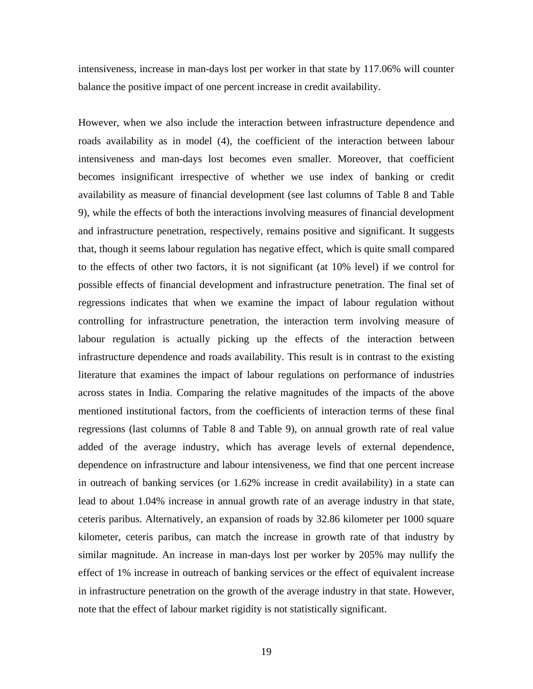intensiveness, increase in man-days lost per worker in that state by 117.06% will counter balance the positive impact of one percent increase in credit availability.

However, when we also include the interaction between infrastructure dependence and roads availability as in model (4), the coefficient of the interaction between labour intensiveness and man-days lost becomes even smaller. Moreover, that coefficient becomes insignificant irrespective of whether we use index of banking or credit availability as measure of financial development (see last columns of Table 8 and Table 9), while the effects of both the interactions involving measures of financial development and infrastructure penetration, respectively, remains positive and significant. It suggests that, though it seems labour regulation has negative effect, which is quite small compared to the effects of other two factors, it is not significant (at 10% level) if we control for possible effects of financial development and infrastructure penetration. The final set of regressions indicates that when we examine the impact of labour regulation without controlling for infrastructure penetration, the interaction term involving measure of labour regulation is actually picking up the effects of the interaction between infrastructure dependence and roads availability. This result is in contrast to the existing literature that examines the impact of labour regulations on performance of industries across states in India. Comparing the relative magnitudes of the impacts of the above mentioned institutional factors, from the coefficients of interaction terms of these final regressions (last columns of Table 8 and Table 9), on annual growth rate of real value added of the average industry, which has average levels of external dependence, dependence on infrastructure and labour intensiveness, we find that one percent increase in outreach of banking services (or 1.62% increase in credit availability) in a state can lead to about 1.04% increase in annual growth rate of an average industry in that state, ceteris paribus. Alternatively, an expansion of roads by 32.86 kilometer per 1000 square kilometer, ceteris paribus, can match the increase in growth rate of that industry by similar magnitude. An increase in man-days lost per worker by 205% may nullify the effect of 1% increase in outreach of banking services or the effect of equivalent increase in infrastructure penetration on the growth of the average industry in that state. However, note that the effect of labour market rigidity is not statistically significant.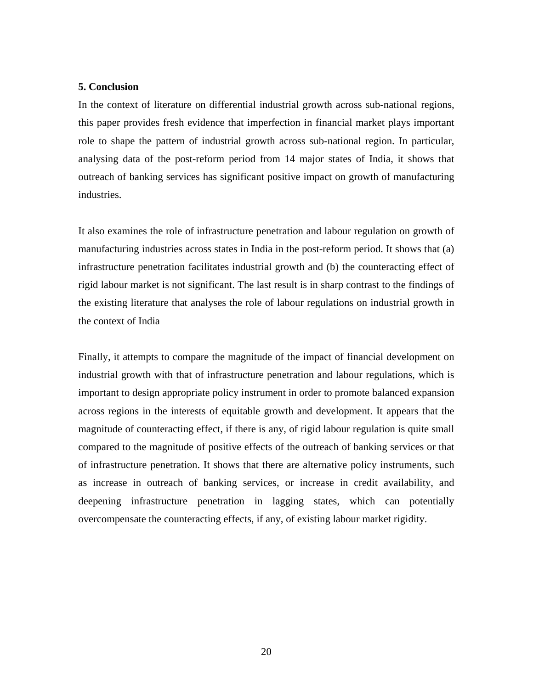### **5. Conclusion**

In the context of literature on differential industrial growth across sub-national regions, this paper provides fresh evidence that imperfection in financial market plays important role to shape the pattern of industrial growth across sub-national region. In particular, analysing data of the post-reform period from 14 major states of India, it shows that outreach of banking services has significant positive impact on growth of manufacturing industries.

It also examines the role of infrastructure penetration and labour regulation on growth of manufacturing industries across states in India in the post-reform period. It shows that (a) infrastructure penetration facilitates industrial growth and (b) the counteracting effect of rigid labour market is not significant. The last result is in sharp contrast to the findings of the existing literature that analyses the role of labour regulations on industrial growth in the context of India

Finally, it attempts to compare the magnitude of the impact of financial development on industrial growth with that of infrastructure penetration and labour regulations, which is important to design appropriate policy instrument in order to promote balanced expansion across regions in the interests of equitable growth and development. It appears that the magnitude of counteracting effect, if there is any, of rigid labour regulation is quite small compared to the magnitude of positive effects of the outreach of banking services or that of infrastructure penetration. It shows that there are alternative policy instruments, such as increase in outreach of banking services, or increase in credit availability, and deepening infrastructure penetration in lagging states, which can potentially overcompensate the counteracting effects, if any, of existing labour market rigidity.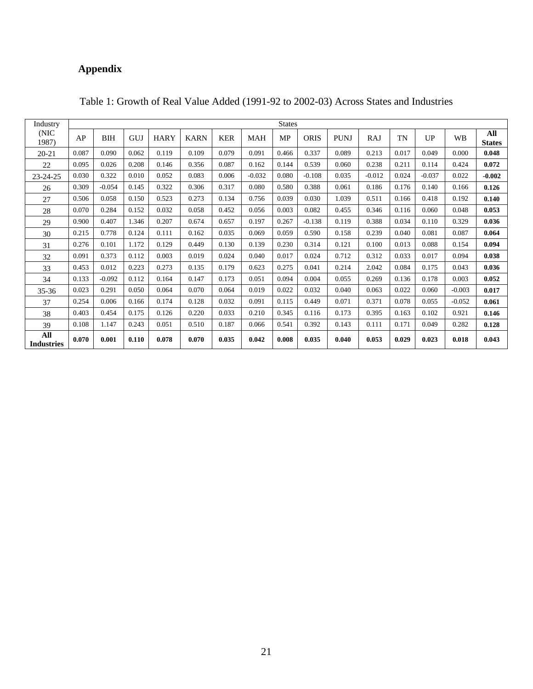# **Appendix**

| Industry                 |       |            |       |             |             |            |          | <b>States</b> |             |             |            |       |          |           |                      |
|--------------------------|-------|------------|-------|-------------|-------------|------------|----------|---------------|-------------|-------------|------------|-------|----------|-----------|----------------------|
| (NIC)<br>1987)           | AP    | <b>BIH</b> | GUJ   | <b>HARY</b> | <b>KARN</b> | <b>KER</b> | MAH      | MP            | <b>ORIS</b> | <b>PUNJ</b> | <b>RAJ</b> | TN    | UP       | <b>WB</b> | All<br><b>States</b> |
| $20 - 21$                | 0.087 | 0.090      | 0.062 | 0.119       | 0.109       | 0.079      | 0.091    | 0.466         | 0.337       | 0.089       | 0.213      | 0.017 | 0.049    | 0.000     | 0.048                |
| 22                       | 0.095 | 0.026      | 0.208 | 0.146       | 0.356       | 0.087      | 0.162    | 0.144         | 0.539       | 0.060       | 0.238      | 0.211 | 0.114    | 0.424     | 0.072                |
| 23-24-25                 | 0.030 | 0.322      | 0.010 | 0.052       | 0.083       | 0.006      | $-0.032$ | 0.080         | $-0.108$    | 0.035       | $-0.012$   | 0.024 | $-0.037$ | 0.022     | $-0.002$             |
| 26                       | 0.309 | $-0.054$   | 0.145 | 0.322       | 0.306       | 0.317      | 0.080    | 0.580         | 0.388       | 0.061       | 0.186      | 0.176 | 0.140    | 0.166     | 0.126                |
| 27                       | 0.506 | 0.058      | 0.150 | 0.523       | 0.273       | 0.134      | 0.756    | 0.039         | 0.030       | 1.039       | 0.511      | 0.166 | 0.418    | 0.192     | 0.140                |
| 28                       | 0.070 | 0.284      | 0.152 | 0.032       | 0.058       | 0.452      | 0.056    | 0.003         | 0.082       | 0.455       | 0.346      | 0.116 | 0.060    | 0.048     | 0.053                |
| 29                       | 0.900 | 0.407      | 1.346 | 0.207       | 0.674       | 0.657      | 0.197    | 0.267         | $-0.138$    | 0.119       | 0.388      | 0.034 | 0.110    | 0.329     | 0.036                |
| 30                       | 0.215 | 0.778      | 0.124 | 0.111       | 0.162       | 0.035      | 0.069    | 0.059         | 0.590       | 0.158       | 0.239      | 0.040 | 0.081    | 0.087     | 0.064                |
| 31                       | 0.276 | 0.101      | 1.172 | 0.129       | 0.449       | 0.130      | 0.139    | 0.230         | 0.314       | 0.121       | 0.100      | 0.013 | 0.088    | 0.154     | 0.094                |
| 32                       | 0.091 | 0.373      | 0.112 | 0.003       | 0.019       | 0.024      | 0.040    | 0.017         | 0.024       | 0.712       | 0.312      | 0.033 | 0.017    | 0.094     | 0.038                |
| 33                       | 0.453 | 0.012      | 0.223 | 0.273       | 0.135       | 0.179      | 0.623    | 0.275         | 0.041       | 0.214       | 2.042      | 0.084 | 0.175    | 0.043     | 0.036                |
| 34                       | 0.133 | $-0.092$   | 0.112 | 0.164       | 0.147       | 0.173      | 0.051    | 0.094         | 0.004       | 0.055       | 0.269      | 0.136 | 0.178    | 0.003     | 0.052                |
| $35 - 36$                | 0.023 | 0.291      | 0.050 | 0.064       | 0.070       | 0.064      | 0.019    | 0.022         | 0.032       | 0.040       | 0.063      | 0.022 | 0.060    | $-0.003$  | 0.017                |
| 37                       | 0.254 | 0.006      | 0.166 | 0.174       | 0.128       | 0.032      | 0.091    | 0.115         | 0.449       | 0.071       | 0.371      | 0.078 | 0.055    | $-0.052$  | 0.061                |
| 38                       | 0.403 | 0.454      | 0.175 | 0.126       | 0.220       | 0.033      | 0.210    | 0.345         | 0.116       | 0.173       | 0.395      | 0.163 | 0.102    | 0.921     | 0.146                |
| 39                       | 0.108 | 1.147      | 0.243 | 0.051       | 0.510       | 0.187      | 0.066    | 0.541         | 0.392       | 0.143       | 0.111      | 0.171 | 0.049    | 0.282     | 0.128                |
| All<br><b>Industries</b> | 0.070 | 0.001      | 0.110 | 0.078       | 0.070       | 0.035      | 0.042    | 0.008         | 0.035       | 0.040       | 0.053      | 0.029 | 0.023    | 0.018     | 0.043                |

### Table 1: Growth of Real Value Added (1991-92 to 2002-03) Across States and Industries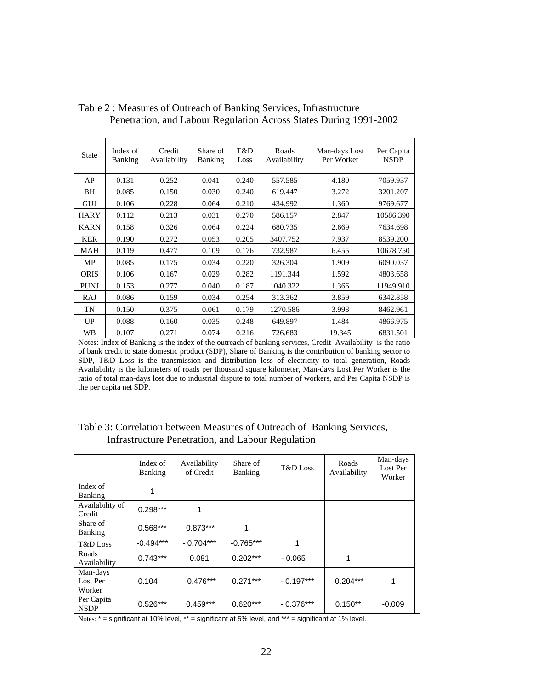| <b>State</b> | Index of<br><b>Banking</b> | Credit<br>Availability | Share of<br>Banking | T&D<br>Loss | Roads<br>Availability | Man-days Lost<br>Per Worker | Per Capita<br><b>NSDP</b> |
|--------------|----------------------------|------------------------|---------------------|-------------|-----------------------|-----------------------------|---------------------------|
| AP           | 0.131                      | 0.252                  | 0.041               | 0.240       | 557.585               | 4.180                       | 7059.937                  |
| BH           | 0.085                      | 0.150                  | 0.030               | 0.240       | 619.447               | 3.272                       | 3201.207                  |
| GUJ          | 0.106                      | 0.228                  | 0.064               | 0.210       | 434.992               | 1.360                       | 9769.677                  |
| <b>HARY</b>  | 0.112                      | 0.213                  | 0.031               | 0.270       | 586.157               | 2.847                       | 10586.390                 |
| <b>KARN</b>  | 0.158                      | 0.326                  | 0.064               | 0.224       | 680.735               | 2.669                       | 7634.698                  |
| <b>KER</b>   | 0.190                      | 0.272                  | 0.053               | 0.205       | 3407.752              | 7.937                       | 8539.200                  |
| <b>MAH</b>   | 0.119                      | 0.477                  | 0.109               | 0.176       | 732.987               | 6.455                       | 10678.750                 |
| MP           | 0.085                      | 0.175                  | 0.034               | 0.220       | 326.304               | 1.909                       | 6090.037                  |
| <b>ORIS</b>  | 0.106                      | 0.167                  | 0.029               | 0.282       | 1191.344              | 1.592                       | 4803.658                  |
| <b>PUNJ</b>  | 0.153                      | 0.277                  | 0.040               | 0.187       | 1040.322              | 1.366                       | 11949.910                 |
| <b>RAJ</b>   | 0.086                      | 0.159                  | 0.034               | 0.254       | 313.362               | 3.859                       | 6342.858                  |
| <b>TN</b>    | 0.150                      | 0.375                  | 0.061               | 0.179       | 1270.586              | 3.998                       | 8462.961                  |
| UP           | 0.088                      | 0.160                  | 0.035               | 0.248       | 649.897               | 1.484                       | 4866.975                  |
| WВ           | 0.107                      | 0.271                  | 0.074               | 0.216       | 726.683               | 19.345                      | 6831.501                  |

Table 2 : Measures of Outreach of Banking Services, Infrastructure Penetration, and Labour Regulation Across States During 1991-2002

Notes: Index of Banking is the index of the outreach of banking services, Credit Availability is the ratio of bank credit to state domestic product (SDP), Share of Banking is the contribution of banking sector to SDP, T&D Loss is the transmission and distribution loss of electricity to total generation, Roads Availability is the kilometers of roads per thousand square kilometer, Man-days Lost Per Worker is the ratio of total man-days lost due to industrial dispute to total number of workers, and Per Capita NSDP is the per capita net SDP.

|                                | Index of<br><b>Banking</b> | Availability<br>of Credit | Share of<br><b>Banking</b> | T&D Loss    | Roads<br>Availability | Man-days<br>Lost Per<br>Worker |
|--------------------------------|----------------------------|---------------------------|----------------------------|-------------|-----------------------|--------------------------------|
| Index of<br><b>Banking</b>     |                            |                           |                            |             |                       |                                |
| Availability of<br>Credit      | $0.298***$                 | 1                         |                            |             |                       |                                |
| Share of<br><b>Banking</b>     | $0.568***$                 | $0.873***$                | 1                          |             |                       |                                |
| T&D Loss                       | $-0.494***$                | $-0.704***$               | $-0.765***$                | 1           |                       |                                |
| Roads<br>Availability          | $0.743***$                 | 0.081                     | $0.202***$                 | $-0.065$    | 1                     |                                |
| Man-days<br>Lost Per<br>Worker | 0.104                      | $0.476***$                | $0.271***$                 | $-0.197***$ | $0.204***$            | 1                              |
| Per Capita<br><b>NSDP</b>      | $0.526***$                 | $0.459***$                | $0.620***$                 | $-0.376***$ | $0.150**$             | $-0.009$                       |

## Table 3: Correlation between Measures of Outreach of Banking Services, Infrastructure Penetration, and Labour Regulation

Notes: \* = significant at 10% level, \*\* = significant at 5% level, and \*\*\* = significant at 1% level.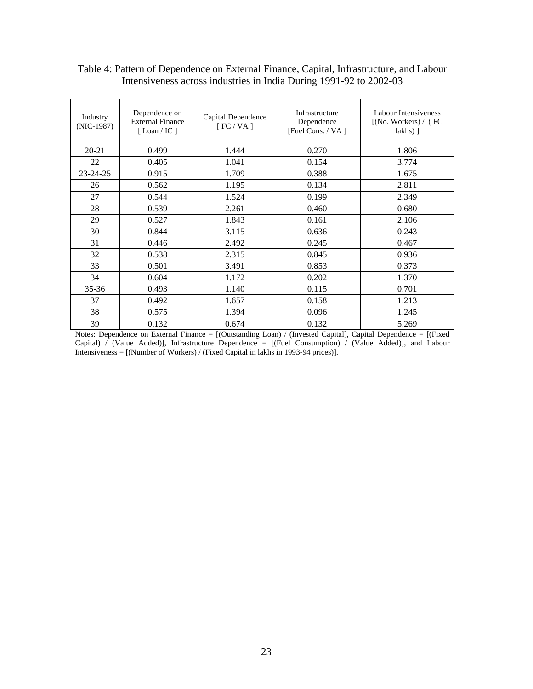| Industry<br>$(NIC-1987)$ | Dependence on<br><b>External Finance</b><br>[Loan / IC ] | Capital Dependence<br>[FC/VA] | Infrastructure<br>Dependence<br>[Fuel Cons. / VA ] | Labour Intensiveness<br>[(No. Workers) / (FC<br>$lakhs)$ ] |
|--------------------------|----------------------------------------------------------|-------------------------------|----------------------------------------------------|------------------------------------------------------------|
| $20 - 21$                | 0.499                                                    | 1.444                         | 0.270                                              | 1.806                                                      |
| 22                       | 0.405                                                    | 1.041                         | 0.154                                              | 3.774                                                      |
| $23 - 24 - 25$           | 0.915                                                    | 1.709                         | 0.388                                              | 1.675                                                      |
| 26                       | 0.562                                                    | 1.195                         | 0.134                                              | 2.811                                                      |
| 27                       | 0.544                                                    | 1.524                         | 0.199                                              | 2.349                                                      |
| 28                       | 0.539                                                    | 2.261                         | 0.460                                              | 0.680                                                      |
| 29                       | 0.527                                                    | 1.843                         | 0.161                                              | 2.106                                                      |
| 30                       | 0.844                                                    | 3.115                         | 0.636                                              | 0.243                                                      |
| 31                       | 0.446                                                    | 2.492                         | 0.245                                              | 0.467                                                      |
| 32                       | 0.538                                                    | 2.315                         | 0.845                                              | 0.936                                                      |
| 33                       | 0.501                                                    | 3.491                         | 0.853                                              | 0.373                                                      |
| 34                       | 0.604                                                    | 1.172                         | 0.202                                              | 1.370                                                      |
| $35 - 36$                | 0.493                                                    | 1.140                         | 0.115                                              | 0.701                                                      |
| 37                       | 0.492                                                    | 1.657                         | 0.158                                              | 1.213                                                      |
| 38                       | 0.575                                                    | 1.394                         | 0.096                                              | 1.245                                                      |
| 39                       | 0.132                                                    | 0.674                         | 0.132                                              | 5.269                                                      |

## Table 4: Pattern of Dependence on External Finance, Capital, Infrastructure, and Labour Intensiveness across industries in India During 1991-92 to 2002-03

Notes: Dependence on External Finance = [(Outstanding Loan) / (Invested Capital], Capital Dependence = [(Fixed Capital) / (Value Added)], Infrastructure Dependence = [(Fuel Consumption) / (Value Added)], and Labour Intensiveness = [(Number of Workers) / (Fixed Capital in lakhs in 1993-94 prices)].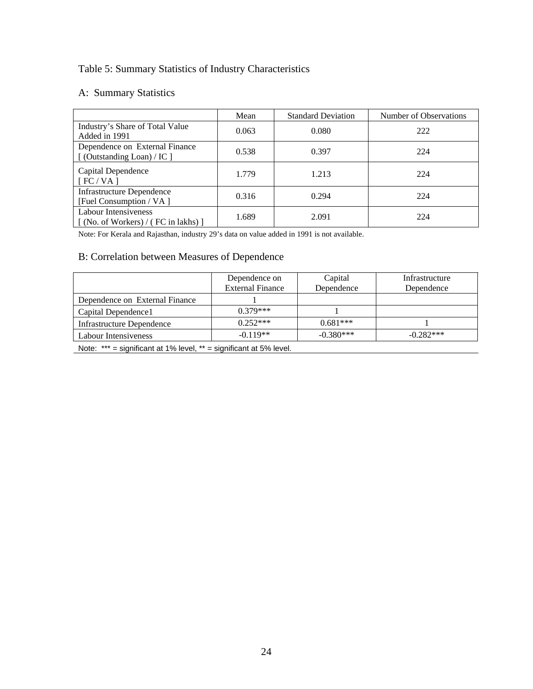# Table 5: Summary Statistics of Industry Characteristics

# A: Summary Statistics

|                                                                            | Mean  | <b>Standard Deviation</b> | Number of Observations |
|----------------------------------------------------------------------------|-------|---------------------------|------------------------|
| Industry's Share of Total Value<br>Added in 1991                           | 0.063 | 0.080                     | 222                    |
| Dependence on External Finance<br>[(Outstanding Loan) / IC ]               | 0.538 | 0.397                     | 224                    |
| Capital Dependence<br>[FC/VA]                                              | 1.779 | 1.213                     | 224                    |
| <b>Infrastructure Dependence</b><br>[Fuel Consumption / VA ]               | 0.316 | 0.294                     | 224                    |
| Labour Intensiveness<br>$\lceil$ (No. of Workers) / (FC in lakhs) $\lceil$ | 1.689 | 2.091                     | 224                    |

Note: For Kerala and Rajasthan, industry 29's data on value added in 1991 is not available.

# B: Correlation between Measures of Dependence

| Dependence on<br><b>External Finance</b> | Capital<br>Dependence | Infrastructure<br>Dependence |
|------------------------------------------|-----------------------|------------------------------|
|                                          |                       |                              |
| $0.379***$                               |                       |                              |
| $0.252***$                               | $0.681***$            |                              |
| $-0.119**$                               | $-0.380***$           | $-0.282***$                  |
|                                          |                       |                              |

Note: \*\*\* = significant at 1% level, \*\* = significant at 5% level.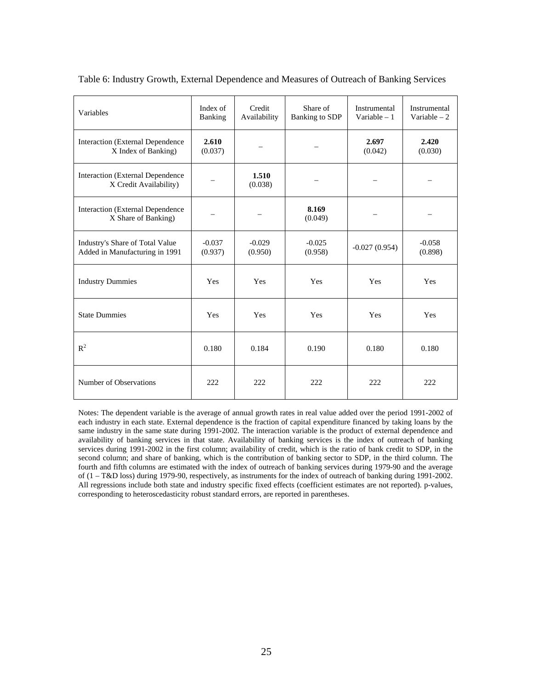| Variables                                                         | Index of<br>Banking | Credit<br>Availability | Share of<br>Banking to SDP | Instrumental<br>Variable $-1$ | Instrumental<br>Variable $-2$ |
|-------------------------------------------------------------------|---------------------|------------------------|----------------------------|-------------------------------|-------------------------------|
| Interaction (External Dependence<br>X Index of Banking)           | 2.610<br>(0.037)    |                        |                            | 2.697<br>(0.042)              | 2.420<br>(0.030)              |
| Interaction (External Dependence<br>X Credit Availability)        |                     | 1.510<br>(0.038)       |                            |                               |                               |
| Interaction (External Dependence<br>X Share of Banking)           |                     | $\qquad \qquad$        | 8.169<br>(0.049)           |                               | —                             |
| Industry's Share of Total Value<br>Added in Manufacturing in 1991 | $-0.037$<br>(0.937) | $-0.029$<br>(0.950)    | $-0.025$<br>(0.958)        | $-0.027(0.954)$               | $-0.058$<br>(0.898)           |
| <b>Industry Dummies</b>                                           | Yes                 | Yes                    | Yes                        | Yes                           | Yes                           |
| <b>State Dummies</b>                                              | Yes                 | Yes                    | Yes                        | Yes                           | Yes                           |
| $R^2$                                                             | 0.180               | 0.184                  | 0.190                      | 0.180                         | 0.180                         |
| Number of Observations                                            | 222                 | 222                    | 222                        | 222                           | 222                           |

Table 6: Industry Growth, External Dependence and Measures of Outreach of Banking Services

Notes: The dependent variable is the average of annual growth rates in real value added over the period 1991-2002 of each industry in each state. External dependence is the fraction of capital expenditure financed by taking loans by the same industry in the same state during 1991-2002. The interaction variable is the product of external dependence and availability of banking services in that state. Availability of banking services is the index of outreach of banking services during 1991-2002 in the first column; availability of credit, which is the ratio of bank credit to SDP, in the second column; and share of banking, which is the contribution of banking sector to SDP, in the third column. The fourth and fifth columns are estimated with the index of outreach of banking services during 1979-90 and the average of (1 – T&D loss) during 1979-90, respectively, as instruments for the index of outreach of banking during 1991-2002. All regressions include both state and industry specific fixed effects (coefficient estimates are not reported). p-values, corresponding to heteroscedasticity robust standard errors, are reported in parentheses.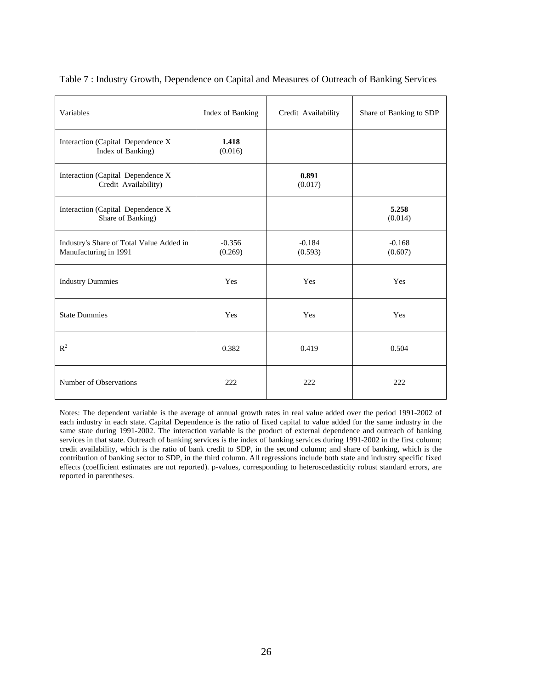| Variables                                                         | Index of Banking    | Credit Availability | Share of Banking to SDP |
|-------------------------------------------------------------------|---------------------|---------------------|-------------------------|
| Interaction (Capital Dependence X<br>Index of Banking)            | 1.418<br>(0.016)    |                     |                         |
| Interaction (Capital Dependence X<br>Credit Availability)         |                     | 0.891<br>(0.017)    |                         |
| Interaction (Capital Dependence X<br>Share of Banking)            |                     |                     | 5.258<br>(0.014)        |
| Industry's Share of Total Value Added in<br>Manufacturing in 1991 | $-0.356$<br>(0.269) | $-0.184$<br>(0.593) | $-0.168$<br>(0.607)     |
| <b>Industry Dummies</b>                                           | Yes                 | Yes                 | Yes                     |
| <b>State Dummies</b>                                              | Yes                 | Yes                 | Yes                     |
| $R^2$                                                             | 0.382               | 0.419               | 0.504                   |
| Number of Observations                                            | 222                 | 222                 | 222                     |

Table 7 : Industry Growth, Dependence on Capital and Measures of Outreach of Banking Services

Notes: The dependent variable is the average of annual growth rates in real value added over the period 1991-2002 of each industry in each state. Capital Dependence is the ratio of fixed capital to value added for the same industry in the same state during 1991-2002. The interaction variable is the product of external dependence and outreach of banking services in that state. Outreach of banking services is the index of banking services during 1991-2002 in the first column; credit availability, which is the ratio of bank credit to SDP, in the second column; and share of banking, which is the contribution of banking sector to SDP, in the third column. All regressions include both state and industry specific fixed effects (coefficient estimates are not reported). p-values, corresponding to heteroscedasticity robust standard errors, are reported in parentheses.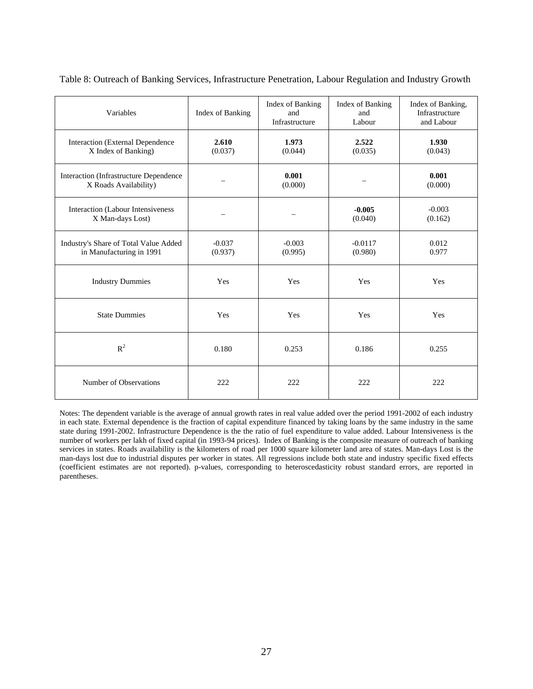| Variables                                                         | Index of Banking    | Index of Banking<br>and<br>Infrastructure | Index of Banking<br>and<br>Labour | Index of Banking,<br>Infrastructure<br>and Labour |
|-------------------------------------------------------------------|---------------------|-------------------------------------------|-----------------------------------|---------------------------------------------------|
| Interaction (External Dependence<br>X Index of Banking)           | 2.610<br>(0.037)    | 1.973<br>(0.044)                          | 2.522<br>(0.035)                  | 1.930<br>(0.043)                                  |
| Interaction (Infrastructure Dependence<br>X Roads Availability)   |                     | 0.001<br>(0.000)                          |                                   | 0.001<br>(0.000)                                  |
| Interaction (Labour Intensiveness<br>X Man-days Lost)             |                     |                                           | $-0.005$<br>(0.040)               | $-0.003$<br>(0.162)                               |
| Industry's Share of Total Value Added<br>in Manufacturing in 1991 | $-0.037$<br>(0.937) | $-0.003$<br>(0.995)                       | $-0.0117$<br>(0.980)              | 0.012<br>0.977                                    |
| <b>Industry Dummies</b>                                           | Yes                 | Yes                                       | Yes                               | Yes                                               |
| <b>State Dummies</b>                                              | Yes                 | Yes                                       | Yes                               | Yes                                               |
| $R^2$                                                             | 0.180               | 0.253                                     | 0.186                             | 0.255                                             |
| Number of Observations                                            | 222                 | 222                                       | 222                               | 222                                               |

Table 8: Outreach of Banking Services, Infrastructure Penetration, Labour Regulation and Industry Growth

Notes: The dependent variable is the average of annual growth rates in real value added over the period 1991-2002 of each industry in each state. External dependence is the fraction of capital expenditure financed by taking loans by the same industry in the same state during 1991-2002. Infrastructure Dependence is the the ratio of fuel expenditure to value added. Labour Intensiveness is the number of workers per lakh of fixed capital (in 1993-94 prices). Index of Banking is the composite measure of outreach of banking services in states. Roads availability is the kilometers of road per 1000 square kilometer land area of states. Man-days Lost is the man-days lost due to industrial disputes per worker in states. All regressions include both state and industry specific fixed effects (coefficient estimates are not reported). p-values, corresponding to heteroscedasticity robust standard errors, are reported in parentheses.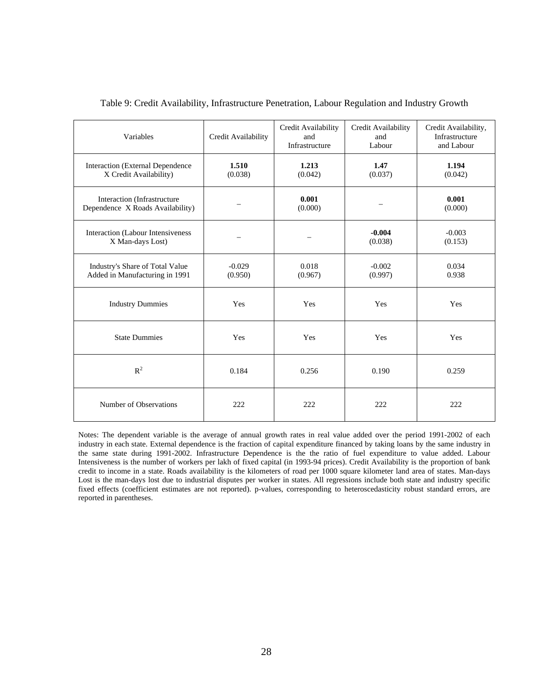| Variables                                                         | Credit Availability | Credit Availability<br>and<br>Infrastructure | Credit Availability<br>and<br>Labour | Credit Availability,<br>Infrastructure<br>and Labour |
|-------------------------------------------------------------------|---------------------|----------------------------------------------|--------------------------------------|------------------------------------------------------|
| Interaction (External Dependence<br>X Credit Availability)        | 1.510<br>(0.038)    | 1.213<br>(0.042)                             | 1.47<br>(0.037)                      | 1.194<br>(0.042)                                     |
| Interaction (Infrastructure<br>Dependence X Roads Availability)   |                     | 0.001<br>(0.000)                             |                                      | 0.001<br>(0.000)                                     |
| Interaction (Labour Intensiveness<br>X Man-days Lost)             |                     |                                              | $-0.004$<br>(0.038)                  | $-0.003$<br>(0.153)                                  |
| Industry's Share of Total Value<br>Added in Manufacturing in 1991 | $-0.029$<br>(0.950) | 0.018<br>(0.967)                             | $-0.002$<br>(0.997)                  | 0.034<br>0.938                                       |
| <b>Industry Dummies</b>                                           | Yes                 | Yes                                          | Yes                                  | Yes                                                  |
| <b>State Dummies</b>                                              | Yes                 | Yes                                          | Yes                                  | Yes                                                  |
| $R^2$                                                             | 0.184               | 0.256                                        | 0.190                                | 0.259                                                |
| Number of Observations                                            | 222                 | 222                                          | 222                                  | 222                                                  |

### Table 9: Credit Availability, Infrastructure Penetration, Labour Regulation and Industry Growth

Notes: The dependent variable is the average of annual growth rates in real value added over the period 1991-2002 of each industry in each state. External dependence is the fraction of capital expenditure financed by taking loans by the same industry in the same state during 1991-2002. Infrastructure Dependence is the the ratio of fuel expenditure to value added. Labour Intensiveness is the number of workers per lakh of fixed capital (in 1993-94 prices). Credit Availability is the proportion of bank credit to income in a state. Roads availability is the kilometers of road per 1000 square kilometer land area of states. Man-days Lost is the man-days lost due to industrial disputes per worker in states. All regressions include both state and industry specific fixed effects (coefficient estimates are not reported). p-values, corresponding to heteroscedasticity robust standard errors, are reported in parentheses.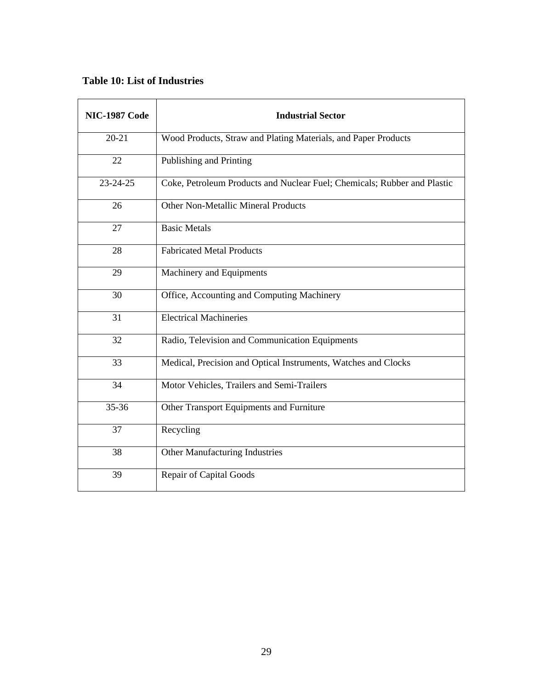# **Table 10: List of Industries**

| <b>NIC-1987 Code</b> | <b>Industrial Sector</b>                                                 |
|----------------------|--------------------------------------------------------------------------|
| $20 - 21$            | Wood Products, Straw and Plating Materials, and Paper Products           |
| 22                   | Publishing and Printing                                                  |
| 23-24-25             | Coke, Petroleum Products and Nuclear Fuel; Chemicals; Rubber and Plastic |
| 26                   | <b>Other Non-Metallic Mineral Products</b>                               |
| 27                   | <b>Basic Metals</b>                                                      |
| 28                   | <b>Fabricated Metal Products</b>                                         |
| 29                   | Machinery and Equipments                                                 |
| 30                   | Office, Accounting and Computing Machinery                               |
| 31                   | <b>Electrical Machineries</b>                                            |
| 32                   | Radio, Television and Communication Equipments                           |
| 33                   | Medical, Precision and Optical Instruments, Watches and Clocks           |
| 34                   | Motor Vehicles, Trailers and Semi-Trailers                               |
| 35-36                | Other Transport Equipments and Furniture                                 |
| 37                   | Recycling                                                                |
| 38                   | <b>Other Manufacturing Industries</b>                                    |
| 39                   | <b>Repair of Capital Goods</b>                                           |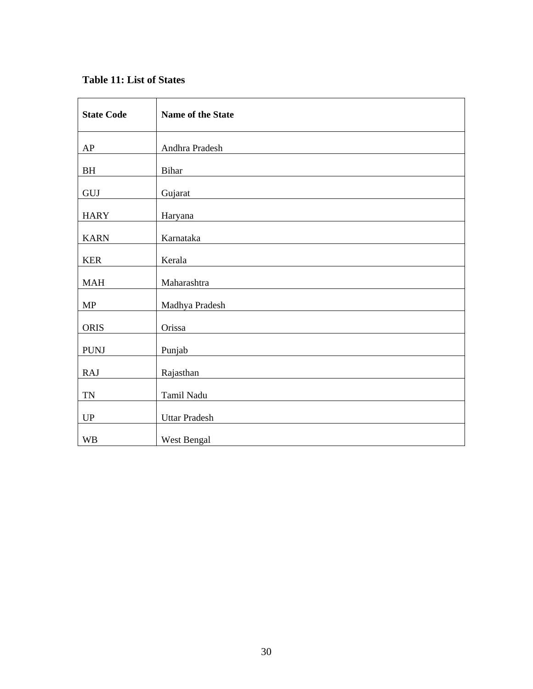# **Table 11: List of States**

| <b>State Code</b>      | Name of the State    |
|------------------------|----------------------|
| AP                     | Andhra Pradesh       |
| BH                     | Bihar                |
| GUJ                    | Gujarat              |
| <b>HARY</b>            | Haryana              |
| <b>KARN</b>            | Karnataka            |
| <b>KER</b>             | Kerala               |
| <b>MAH</b>             | Maharashtra          |
| MP                     | Madhya Pradesh       |
| <b>ORIS</b>            | Orissa               |
| PUNJ                   | Punjab               |
| <b>RAJ</b>             | Rajasthan            |
| $\mathbf{TN}$          | Tamil Nadu           |
| $\mathbf{U}\mathbf{P}$ | <b>Uttar Pradesh</b> |
| <b>WB</b>              | West Bengal          |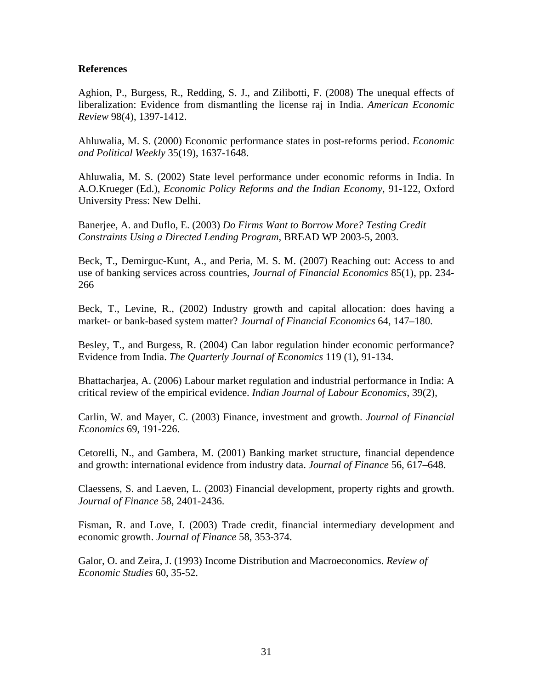### **References**

Aghion, P., Burgess, R., Redding, S. J., and Zilibotti, F. (2008) The unequal effects of liberalization: Evidence from dismantling the license raj in India. *American Economic Review* 98(4), 1397-1412.

Ahluwalia, M. S. (2000) Economic performance states in post-reforms period. *Economic and Political Weekly* 35(19), 1637-1648.

Ahluwalia, M. S. (2002) State level performance under economic reforms in India. In A.O.Krueger (Ed.), *Economic Policy Reforms and the Indian Economy*, 91-122, Oxford University Press: New Delhi.

Banerjee, A. and Duflo, E. (2003) *Do Firms Want to Borrow More? Testing Credit Constraints Using a Directed Lending Program*, BREAD WP 2003-5, 2003.

Beck, T., Demirguc-Kunt, A., and Peria, M. S. M. (2007) Reaching out: Access to and use of banking services across countries, *Journal of Financial Economics* 85(1), pp. 234- 266

Beck, T., Levine, R., (2002) Industry growth and capital allocation: does having a market- or bank-based system matter? *Journal of Financial Economics* 64, 147–180.

Besley, T., and Burgess, R. (2004) Can labor regulation hinder economic performance? Evidence from India. *The Quarterly Journal of Economics* 119 (1), 91-134.

Bhattacharjea, A. (2006) Labour market regulation and industrial performance in India: A critical review of the empirical evidence. *Indian Journal of Labour Economics*, 39(2),

Carlin, W. and Mayer, C. (2003) Finance, investment and growth. *Journal of Financial Economics* 69, 191-226.

Cetorelli, N., and Gambera, M. (2001) Banking market structure, financial dependence and growth: international evidence from industry data. *Journal of Finance* 56, 617–648.

Claessens, S. and Laeven, L. (2003) Financial development, property rights and growth. *Journal of Finance* 58, 2401-2436.

Fisman, R. and Love, I. (2003) Trade credit, financial intermediary development and economic growth. *Journal of Finance* 58, 353-374.

Galor, O. and Zeira, J. (1993) Income Distribution and Macroeconomics. *Review of Economic Studies* 60, 35-52.